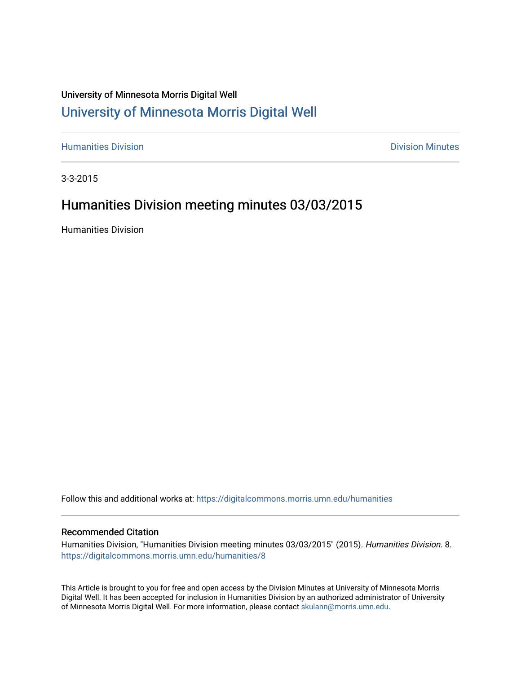## University of Minnesota Morris Digital Well [University of Minnesota Morris Digital Well](https://digitalcommons.morris.umn.edu/)

**[Humanities Division](https://digitalcommons.morris.umn.edu/humanities) Communisties Access 2008** 2012 12:30 Ninutes 2012 12:30 Ninutes 2013

3-3-2015

## Humanities Division meeting minutes 03/03/2015

Humanities Division

Follow this and additional works at: [https://digitalcommons.morris.umn.edu/humanities](https://digitalcommons.morris.umn.edu/humanities?utm_source=digitalcommons.morris.umn.edu%2Fhumanities%2F8&utm_medium=PDF&utm_campaign=PDFCoverPages) 

## Recommended Citation

Humanities Division, "Humanities Division meeting minutes 03/03/2015" (2015). Humanities Division. 8. [https://digitalcommons.morris.umn.edu/humanities/8](https://digitalcommons.morris.umn.edu/humanities/8?utm_source=digitalcommons.morris.umn.edu%2Fhumanities%2F8&utm_medium=PDF&utm_campaign=PDFCoverPages) 

This Article is brought to you for free and open access by the Division Minutes at University of Minnesota Morris Digital Well. It has been accepted for inclusion in Humanities Division by an authorized administrator of University of Minnesota Morris Digital Well. For more information, please contact [skulann@morris.umn.edu.](mailto:skulann@morris.umn.edu)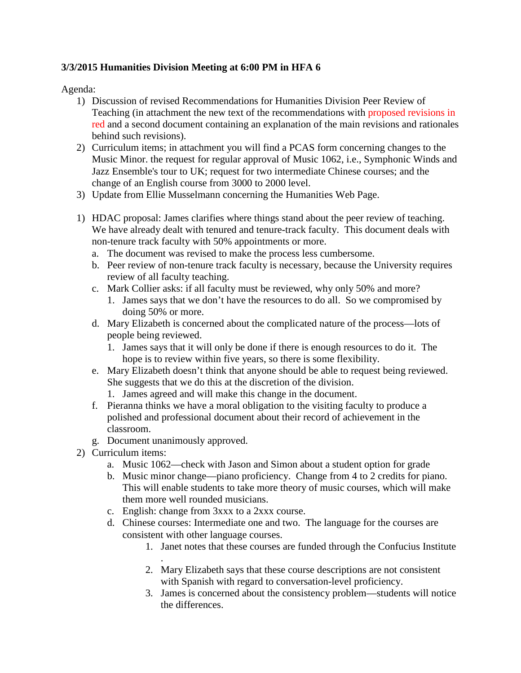## **3/3/2015 Humanities Division Meeting at 6:00 PM in HFA 6**

Agenda:

- 1) Discussion of revised Recommendations for Humanities Division Peer Review of Teaching (in attachment the new text of the recommendations with proposed revisions in red and a second document containing an explanation of the main revisions and rationales behind such revisions).
- 2) Curriculum items; in attachment you will find a PCAS form concerning changes to the Music Minor. the request for regular approval of Music 1062, i.e., Symphonic Winds and Jazz Ensemble's tour to UK; request for two intermediate Chinese courses; and the change of an English course from 3000 to 2000 level.
- 3) Update from Ellie Musselmann concerning the Humanities Web Page.
- 1) HDAC proposal: James clarifies where things stand about the peer review of teaching. We have already dealt with tenured and tenure-track faculty. This document deals with non-tenure track faculty with 50% appointments or more.
	- a. The document was revised to make the process less cumbersome.
	- b. Peer review of non-tenure track faculty is necessary, because the University requires review of all faculty teaching.
	- c. Mark Collier asks: if all faculty must be reviewed, why only 50% and more?
		- 1. James says that we don't have the resources to do all. So we compromised by doing 50% or more.
	- d. Mary Elizabeth is concerned about the complicated nature of the process—lots of people being reviewed.
		- 1. James says that it will only be done if there is enough resources to do it. The hope is to review within five years, so there is some flexibility.
	- e. Mary Elizabeth doesn't think that anyone should be able to request being reviewed. She suggests that we do this at the discretion of the division.
		- 1. James agreed and will make this change in the document.
	- f. Pieranna thinks we have a moral obligation to the visiting faculty to produce a polished and professional document about their record of achievement in the classroom.
	- g. Document unanimously approved.
- 2) Curriculum items:
	- a. Music 1062—check with Jason and Simon about a student option for grade
	- b. Music minor change—piano proficiency. Change from 4 to 2 credits for piano. This will enable students to take more theory of music courses, which will make them more well rounded musicians.
	- c. English: change from 3xxx to a 2xxx course.
	- d. Chinese courses: Intermediate one and two. The language for the courses are consistent with other language courses.
		- 1. Janet notes that these courses are funded through the Confucius Institute
		- . 2. Mary Elizabeth says that these course descriptions are not consistent with Spanish with regard to conversation-level proficiency.
		- 3. James is concerned about the consistency problem—students will notice the differences.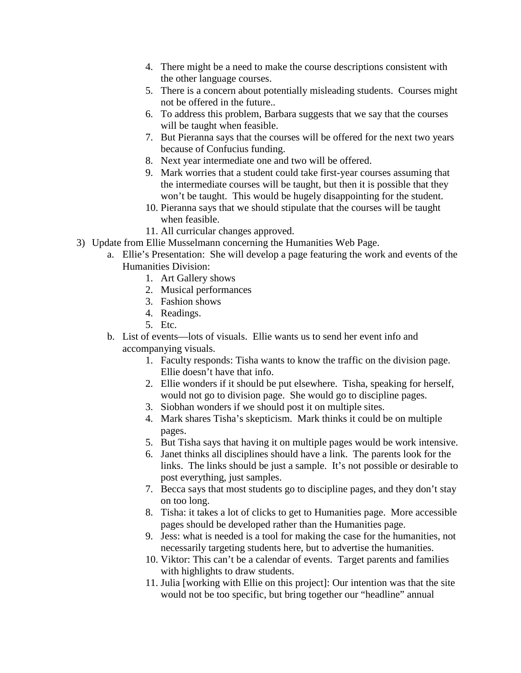- 4. There might be a need to make the course descriptions consistent with the other language courses.
- 5. There is a concern about potentially misleading students. Courses might not be offered in the future..
- 6. To address this problem, Barbara suggests that we say that the courses will be taught when feasible.
- 7. But Pieranna says that the courses will be offered for the next two years because of Confucius funding.
- 8. Next year intermediate one and two will be offered.
- 9. Mark worries that a student could take first-year courses assuming that the intermediate courses will be taught, but then it is possible that they won't be taught. This would be hugely disappointing for the student.
- 10. Pieranna says that we should stipulate that the courses will be taught when feasible.
- 11. All curricular changes approved.
- 3) Update from Ellie Musselmann concerning the Humanities Web Page.
	- a. Ellie's Presentation: She will develop a page featuring the work and events of the Humanities Division:
		- 1. Art Gallery shows
		- 2. Musical performances
		- 3. Fashion shows
		- 4. Readings.
		- 5. Etc.
	- b. List of events—lots of visuals. Ellie wants us to send her event info and accompanying visuals.
		- 1. Faculty responds: Tisha wants to know the traffic on the division page. Ellie doesn't have that info.
		- 2. Ellie wonders if it should be put elsewhere. Tisha, speaking for herself, would not go to division page. She would go to discipline pages.
		- 3. Siobhan wonders if we should post it on multiple sites.
		- 4. Mark shares Tisha's skepticism. Mark thinks it could be on multiple pages.
		- 5. But Tisha says that having it on multiple pages would be work intensive.
		- 6. Janet thinks all disciplines should have a link. The parents look for the links. The links should be just a sample. It's not possible or desirable to post everything, just samples.
		- 7. Becca says that most students go to discipline pages, and they don't stay on too long.
		- 8. Tisha: it takes a lot of clicks to get to Humanities page. More accessible pages should be developed rather than the Humanities page.
		- 9. Jess: what is needed is a tool for making the case for the humanities, not necessarily targeting students here, but to advertise the humanities.
		- 10. Viktor: This can't be a calendar of events. Target parents and families with highlights to draw students.
		- 11. Julia [working with Ellie on this project]: Our intention was that the site would not be too specific, but bring together our "headline" annual